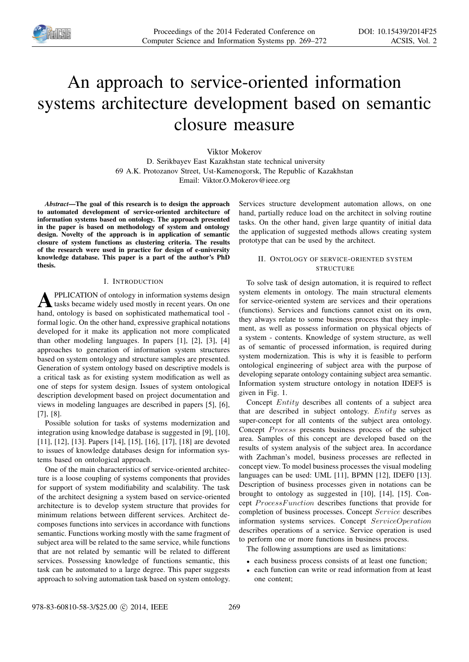

# An approach to service-oriented information systems architecture development based on semantic closure measure

Viktor Mokerov D. Serikbayev East Kazakhstan state technical university 69 A.K. Protozanov Street, Ust-Kamenogorsk, The Republic of Kazakhstan Email: Viktor.O.Mokerov@ieee.org

*Abstract*—The goal of this research is to design the approach to automated development of service-oriented architecture of information systems based on ontology. The approach presented in the paper is based on methodology of system and ontology design. Novelty of the approach is in application of semantic closure of system functions as clustering criteria. The results of the research were used in practice for design of e-university knowledge database. This paper is a part of the author's PhD thesis.

#### I. INTRODUCTION

**A** PPLICATION of ontology in information systems design tasks became widely used mostly in recent years. On one hand, ontology is based on sophisticated mathematical tool -PPLICATION of ontology in information systems design tasks became widely used mostly in recent years. On one formal logic. On the other hand, expressive graphical notations developed for it make its application not more complicated than other modeling languages. In papers [1], [2], [3], [4] approaches to generation of information system structures based on system ontology and structure samples are presented. Generation of system ontology based on descriptive models is a critical task as for existing system modification as well as one of steps for system design. Issues of system ontological description development based on project documentation and views in modeling languages are described in papers [5], [6], [7], [8].

Possible solution for tasks of systems modernization and integration using knowledge database is suggested in [9], [10], [11], [12], [13]. Papers [14], [15], [16], [17], [18] are devoted to issues of knowledge databases design for information systems based on ontological approach.

One of the main characteristics of service-oriented architecture is a loose coupling of systems components that provides for support of system modifiability and scalability. The task of the architect designing a system based on service-oriented architecture is to develop system structure that provides for minimum relations between different services. Architect decomposes functions into services in accordance with functions semantic. Functions working mostly with the same fragment of subject area will be related to the same service, while functions that are not related by semantic will be related to different services. Possessing knowledge of functions semantic, this task can be automated to a large degree. This paper suggests approach to solving automation task based on system ontology. Services structure development automation allows, on one hand, partially reduce load on the architect in solving routine tasks. On the other hand, given large quantity of initial data the application of suggested methods allows creating system prototype that can be used by the architect.

## II. ONTOLOGY OF SERVICE-ORIENTED SYSTEM **STRUCTURE**

To solve task of design automation, it is required to reflect system elements in ontology. The main structural elements for service-oriented system are services and their operations (functions). Services and functions cannot exist on its own, they always relate to some business process that they implement, as well as possess information on physical objects of a system - contents. Knowledge of system structure, as well as of semantic of processed information, is required during system modernization. This is why it is feasible to perform ontological engineering of subject area with the purpose of developing separate ontology containing subject area semantic. Information system structure ontology in notation IDEF5 is given in Fig. 1.

Concept Entity describes all contents of a subject area that are described in subject ontology. *Entity* serves as super-concept for all contents of the subject area ontology. Concept Process presents business process of the subject area. Samples of this concept are developed based on the results of system analysis of the subject area. In accordance with Zachman's model, business processes are reflected in concept view. To model business processes the visual modeling languages can be used: UML [11], BPMN [12], IDEF0 [13]. Description of business processes given in notations can be brought to ontology as suggested in [10], [14], [15]. Concept  $ProcessFunction$  describes functions that provide for completion of business processes. Concept Service describes information systems services. Concept ServiceOperation describes operations of a service. Service operation is used to perform one or more functions in business process.

The following assumptions are used as limitations:

- each business process consists of at least one function;
- each function can write or read information from at least one content;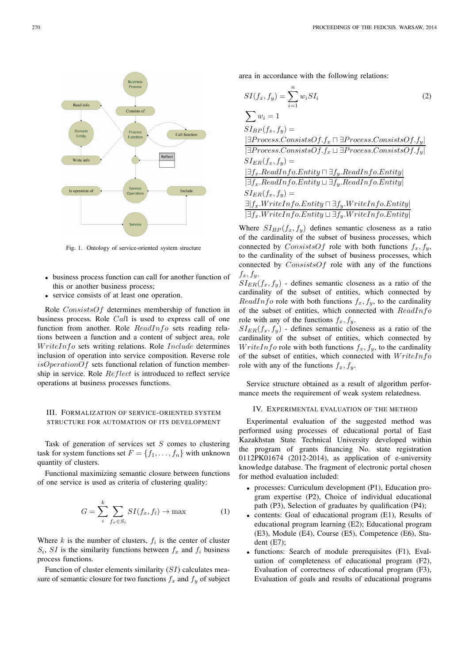

Fig. 1. Ontology of service-oriented system structure

- business process function can call for another function of this or another business process;
- service consists of at least one operation.

Role ConsistsOf determines membership of function in business process. Role Call is used to express call of one function from another. Role ReadInfo sets reading relations between a function and a content of subject area, role  $WriteInfo$  sets writing relations. Role  $Include$  determines inclusion of operation into service composition. Reverse role  $isOperationOf$  sets functional relation of function membership in service. Role *Reflect* is introduced to reflect service operations at business processes functions.

### III. FORMALIZATION OF SERVICE-ORIENTED SYSTEM STRUCTURE FOR AUTOMATION OF ITS DEVELOPMENT

Task of generation of services set  $S$  comes to clustering task for system functions set  $F = \{f_1, \ldots, f_n\}$  with unknown quantity of clusters.

Functional maximizing semantic closure between functions of one service is used as criteria of clustering quality:

$$
G = \sum_{i}^{k} \sum_{f_x \in S_i} SI(f_x, f_i) \to \max \tag{1}
$$

Where  $k$  is the number of clusters,  $f_i$  is the center of cluster  $S_i$ , SI is the similarity functions between  $f_x$  and  $f_i$  business process functions.

Function of cluster elements similarity (SI) calculates measure of semantic closure for two functions  $f_x$  and  $f_y$  of subject area in accordance with the following relations:

$$
SI(f_x, f_y) = \sum_{i=1}^{n} w_i SI_i
$$
\n
$$
\sum w_i = 1
$$
\n
$$
SI_{BP}(f_x, f_y) =
$$
\n
$$
\boxed{\exists Process. ConsistsOf.f_x \sqcap \exists Process. ConsistsOf.f_y \mid}
$$
\n
$$
\boxed{AProcess. ConsistsOf.f_x \sqcup \exists Process. ConsistsOf.f_y \mid}
$$
\n
$$
SI_{ER}(f_x, f_y) =
$$
\n
$$
\boxed{\exists f_x. ReadInfo. Entity \sqcap \exists f_y. ReadInfo. Entity \mid}
$$
\n
$$
SI_{ER}(f_x, f_y) =
$$
\n
$$
SI_{ER}(f_x, f_y) =
$$
\n
$$
\boxed{\exists f_x. WriteInfo. Entity \sqcap \exists f_y. WriteInfo. Entity \mid}
$$
\n
$$
\boxed{\exists f_x. WriteInfo. Entity \sqcup \exists f_y. WriteInfo. Entity \mid}
$$

Where  $SI_{BP}(f_x, f_y)$  defines semantic closeness as a ratio of the cardinality of the subset of business processes, which connected by *ConsistsOf* role with both functions  $f_x$ ,  $f_y$ , to the cardinality of the subset of business processes, which connected by  $ConsistsOf$  role with any of the functions  $f_x, f_y.$ 

 $SI_{ER}(f_x, f_y)$  - defines semantic closeness as a ratio of the cardinality of the subset of entities, which connected by  $ReadInfo$  role with both functions  $f_x, f_y$ , to the cardinality of the subset of entities, which connected with  $ReadInfo$ role with any of the functions  $f_x, f_y$ .

 $SI_{ER}(f_x, f_y)$  - defines semantic closeness as a ratio of the cardinality of the subset of entities, which connected by  $WriteInfo$  role with both functions  $f_x, f_y$ , to the cardinality of the subset of entities, which connected with  $WriteInfo$ role with any of the functions  $f_x, f_y$ .

Service structure obtained as a result of algorithm performance meets the requirement of weak system relatedness.

#### IV. EXPERIMENTAL EVALUATION OF THE METHOD

Experimental evaluation of the suggested method was performed using processes of educational portal of East Kazakhstan State Technical University developed within the program of grants financing No. state registration 0112PK01674 (2012-2014), as application of e-university knowledge database. The fragment of electronic portal chosen for method evaluation included:

- processes: Curriculum development (P1), Education program expertise (P2), Choice of individual educational path (P3), Selection of graduates by qualification (P4);
- contents: Goal of educational program (E1), Results of educational program learning (E2); Educational program (E3), Module (E4), Course (E5), Competence (E6), Student (E7);
- functions: Search of module prerequisites (F1), Evaluation of completeness of educational program (F2), Evaluation of correctness of educational program (F3), Evaluation of goals and results of educational programs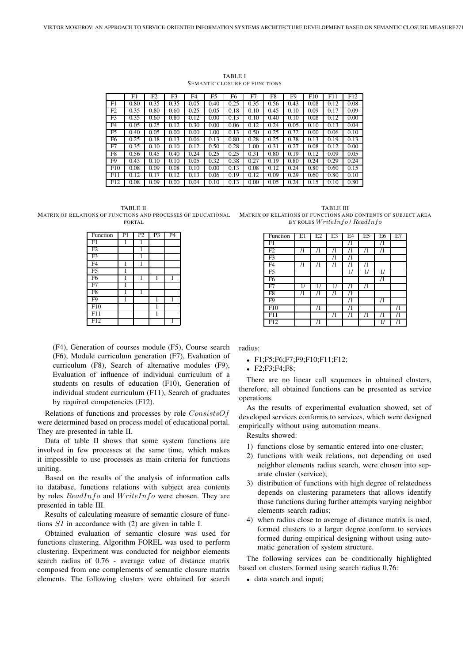F1 F2 F3 F4 F5 F6 F7 F8 F9 F10 F11 F12 F1  $\begin{bmatrix} 0.80 & 0.35 & 0.35 & 0.05 & 0.40 & 0.25 & 0.35 & 0.35 & 0.65 & 0.43 & 0.08 & 0.12 & 0.08 \end{bmatrix}$ F2  $\begin{bmatrix} 0.35 & 0.80 & 0.60 & 0.25 & 0.05 & 0.18 & 0.10 & 0.45 & 0.10 & 0.09 & 0.17 & 0.09 \end{bmatrix}$ F3  $\begin{bmatrix} 0.35 \end{bmatrix}$  0.60  $\begin{bmatrix} 0.80 \end{bmatrix}$  0.12  $\begin{bmatrix} 0.00 \end{bmatrix}$  0.13  $\begin{bmatrix} 0.10 \end{bmatrix}$  0.40  $\begin{bmatrix} 0.10 \end{bmatrix}$  0.08  $\begin{bmatrix} 0.12 \end{bmatrix}$  0.00 F4 0.05 0.25 0.12 0.30 0.00 0.06 0.12 0.24 0.05 0.10 0.13 0.04 F5  $\begin{bmatrix} 0.40 & 0.05 & 0.00 & 0.00 & 1.00 & 0.13 & 0.50 & 0.25 & 0.32 & 0.00 & 0.06 & 0.10 \end{bmatrix}$ F6 0.25 0.18 0.13 0.06 0.13 0.80 0.28 0.25 0.38 0.13 0.19 0.13 F7  $\begin{bmatrix} 0.35 \end{bmatrix}$  0.10  $\begin{bmatrix} 0.10 \end{bmatrix}$  0.12  $\begin{bmatrix} 0.50 \end{bmatrix}$  0.28  $\begin{bmatrix} 1.00 \end{bmatrix}$  0.31  $\begin{bmatrix} 0.27 \end{bmatrix}$  0.08  $\begin{bmatrix} 0.12 \end{bmatrix}$  0.00 F8 0.56 0.45 0.40 0.24 0.25 0.25 0.31 0.80 0.19 0.12 0.09 0.05 F9 0.43 0.10 0.10 0.05 0.32 0.38 0.27 0.19 0.80 0.24 0.29 0.24 F10 | 0.08 | 0.09 | 0.08 | 0.10 | 0.00 | 0.13 | 0.08 | 0.12 | 0.24 | 0.80 | 0.60 | 0.15 F11 | 0.12 | 0.17 | 0.12 | 0.13 | 0.06 | 0.19 | 0.12 | 0.09 | 0.29 | 0.60 | 0.80 | 0.10 F12 | 0.08 | 0.09 | 0.00 | 0.04 | 0.10 | 0.13 | 0.00 | 0.05 | 0.24 | 0.15 | 0.10 | 0.80

TABLE I SEMANTIC CLOSURE OF FUNCTIONS

TABLE II MATRIX OF RELATIONS OF FUNCTIONS AND PROCESSES OF EDUCATIONAL PORTAL

| Function       | P <sub>1</sub> | P2 | P3 | P <sub>4</sub> |
|----------------|----------------|----|----|----------------|
| F1             |                |    |    |                |
| F <sub>2</sub> |                |    |    |                |
| F3             |                |    |    |                |
| F4             | 1              |    |    |                |
| F5             | 1              |    |    |                |
| F6             |                |    | 1  |                |
| F7             |                |    |    |                |
| F8             |                | 1  |    |                |
| F9             |                |    | 1  |                |
| F10            |                |    | 1  |                |
| F11            |                |    |    |                |
| F12            |                |    |    |                |

(F4), Generation of courses module (F5), Course search (F6), Module curriculum generation (F7), Evaluation of curriculum (F8), Search of alternative modules (F9), Evaluation of influence of individual curriculum of a students on results of education (F10), Generation of individual student curriculum (F11), Search of graduates by required competencies (F12).

Relations of functions and processes by role ConsistsOf were determined based on process model of educational portal. They are presented in table II.

Data of table II shows that some system functions are involved in few processes at the same time, which makes it impossible to use processes as main criteria for functions uniting.

Based on the results of the analysis of information calls to database, functions relations with subject area contents by roles  $ReadInfo$  and  $WriteInfo$  were chosen. They are presented in table III.

Results of calculating measure of semantic closure of functions SI in accordance with (2) are given in table I.

Obtained evaluation of semantic closure was used for functions clustering. Algorithm FOREL was used to perform clustering. Experiment was conducted for neighbor elements search radius of 0.76 - average value of distance matrix composed from one complements of semantic closure matrix elements. The following clusters were obtained for search

TABLE III MATRIX OF RELATIONS OF FUNCTIONS AND CONTENTS OF SUBJECT AREA  $BY$  ROLES  $WriteInfo$  /  $ReadInfo$ 

| Function                | E1         | E2            | E3             | E4         | E5         | E6         | E7         |
|-------------------------|------------|---------------|----------------|------------|------------|------------|------------|
| F1                      |            |               |                | /1         |            | /1         |            |
| F <sub>2</sub>          | $\sqrt{1}$ | /1            | /1             | /1         | $\sqrt{1}$ | /1         |            |
| F <sub>3</sub>          |            |               | $\sqrt{1}$     | $\sqrt{1}$ |            |            |            |
| F4                      | 71         | /1            | $\overline{1}$ | /1         | /1         |            |            |
| F5                      |            |               |                | 1/         | 1/         | 1/         |            |
| F <sub>6</sub>          |            |               |                |            |            | /1         |            |
| $_{\rm F7}$             | 1/         | $\frac{1}{2}$ | $\frac{1}{2}$  | $\sqrt{1}$ | $\sqrt{1}$ |            |            |
| F8                      | 71         | /1            | 71             | /1         |            |            |            |
| F9                      |            |               |                | $\sqrt{1}$ |            | $\sqrt{1}$ |            |
| F10                     |            | $\sqrt{1}$    |                | $\sqrt{1}$ |            |            | $\sqrt{1}$ |
| $\overline{\text{F}}11$ |            |               | $\sqrt{1}$     | /1         | $\sqrt{1}$ | /1         | 71         |
| F12                     |            | /1            |                |            |            | 11         | /1         |

radius:

- F1;F5;F6;F7;F9;F10;F11;F12;
- F2:F3:F4:F8:

There are no linear call sequences in obtained clusters, therefore, all obtained functions can be presented as service operations.

As the results of experimental evaluation showed, set of developed services conforms to services, which were designed empirically without using automation means.

Results showed:

- 1) functions close by semantic entered into one cluster;
- 2) functions with weak relations, not depending on used neighbor elements radius search, were chosen into separate cluster (service);
- 3) distribution of functions with high degree of relatedness depends on clustering parameters that allows identify those functions during further attempts varying neighbor elements search radius;
- 4) when radius close to average of distance matrix is used, formed clusters to a larger degree conform to services formed during empirical designing without using automatic generation of system structure.

The following services can be conditionally highlighted based on clusters formed using search radius 0.76:

• data search and input;